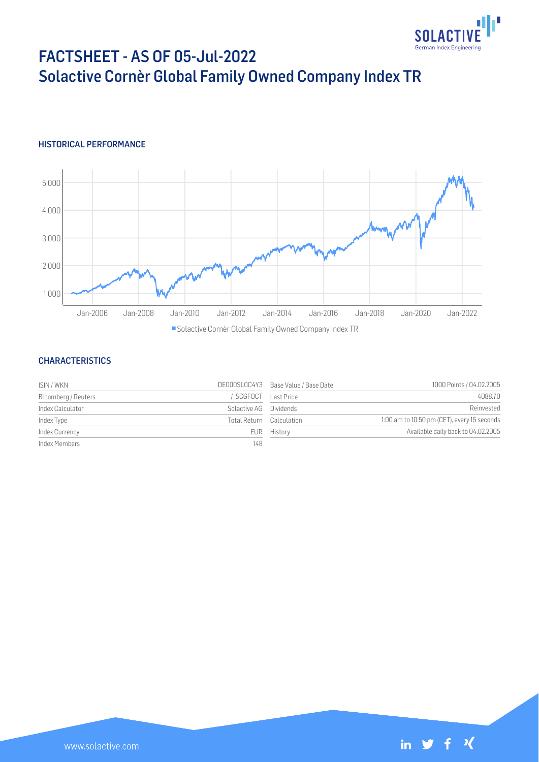

# FACTSHEET - AS OF 05-Jul-2022 Solactive Cornèr Global Family Owned Company Index TR

## HISTORICAL PERFORMANCE



## **CHARACTERISTICS**

| ISIN / WKN          |                          | DE000SL0C4Y3 Base Value / Base Date | 1000 Points / 04.02.2005                    |
|---------------------|--------------------------|-------------------------------------|---------------------------------------------|
| Bloomberg / Reuters | SCGFOCT Last Price       |                                     | 4088.70                                     |
| Index Calculator    | Solactive AG Dividends   |                                     | Reinvested                                  |
| Index Type          | Total Return Calculation |                                     | 1:00 am to 10:50 pm (CET), every 15 seconds |
| Index Currency      |                          | EUR History                         | Available daily back to 04.02.2005          |
| Index Members       | 148                      |                                     |                                             |

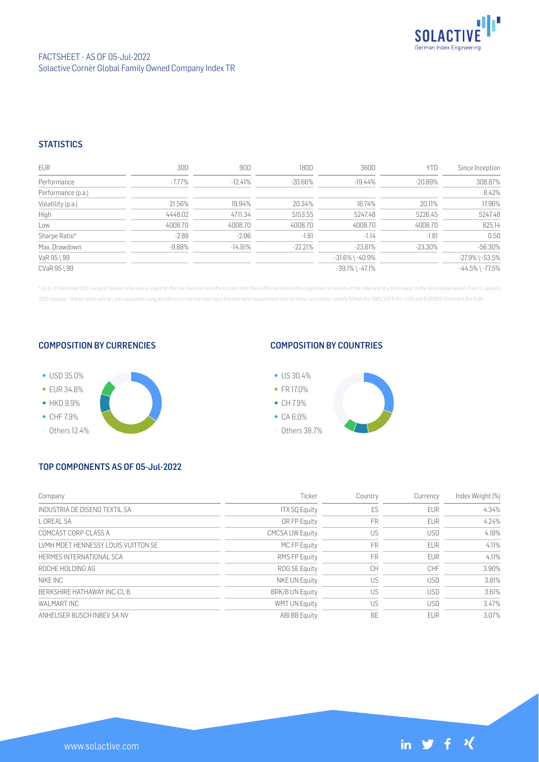

## **STATISTICS**

| <b>EUR</b>         | 30D       | 90D       | 180D       | 360D                  | <b>YTD</b> | Since Inception       |
|--------------------|-----------|-----------|------------|-----------------------|------------|-----------------------|
| Performance        | $-7.77\%$ | $-12.41%$ | $-20.66\%$ | -19.44%               | $-20.89\%$ | 308.87%               |
| Performance (p.a.) |           |           |            |                       |            | 8.42%                 |
| Volatility (p.a.)  | 21.56%    | 19.94%    | 20.34%     | 16.74%                | 20.11%     | 17.96%                |
| High               | 4448.02   | 4711.34   | 5153.55    | 5247.48               | 5226.45    | 5247.48               |
| Low                | 4008.70   | 4008.70   | 4008.70    | 4008.70               | 4008.70    | 825.14                |
| Sharpe Ratio*      | $-2.88$   | $-2.06$   | $-1.81$    | $-1.14$               | $-1.81$    | 0.50                  |
| Max. Drawdown      | $-9.88%$  | $-14.91%$ | $-22.21%$  | $-23.61%$             | $-23.30\%$ | $-56.30%$             |
| VaR 95 \ 99        |           |           |            | $-31.6\%$ \ $-40.9\%$ |            | $-27.9\%$ \ $-53.5\%$ |
| CVaR 95 \ 99       |           |           |            | $-39.1\%$ \ $-47.1\%$ |            | $-44.5\%$ \ $-77.5\%$ |

\* Up to 31 December 2021, ex-post Sharpe ratios use as input for the risk free rate term the London Inter-Bank Offered rates in the respective currencies of the index and at a term equal to the observation period. From 3 J 2022 onwards, Sharpe ratios will be / are calculated using as reference risk free rate input the overnight replacement rate for these currencies, namely SONIA (for GBP), SOFR (for USD) and EURIBOR Overnight (for EUR).

## COMPOSITION BY CURRENCIES



## COMPOSITION BY COUNTRIES



# TOP COMPONENTS AS OF 05-Jul-2022

| Company                             | Ticker                 | Country   | Currency   | Index Weight (%) |
|-------------------------------------|------------------------|-----------|------------|------------------|
| INDUSTRIA DE DISENO TEXTIL SA       | <b>ITX SQ Equity</b>   | ES        | <b>EUR</b> | 4.34%            |
| L OREAL SA                          | OR FP Equity           | <b>FR</b> | <b>EUR</b> | 4.24%            |
| COMCAST CORP-CLASS A                | <b>CMCSA UW Equity</b> | US        | <b>USD</b> | 4.18%            |
| LVMH MOET HENNESSY LOUIS VUITTON SE | MC FP Equity           | <b>FR</b> | <b>EUR</b> | 4.11%            |
| HERMES INTERNATIONAL SCA            | RMS FP Equity          | <b>FR</b> | <b>EUR</b> | 4.11%            |
| ROCHE HOLDING AG                    | ROG SE Equity          | CH        | <b>CHF</b> | 3.90%            |
| NIKE INC                            | NKE UN Equity          | US        | <b>USD</b> | 3.81%            |
| BERKSHIRE HATHAWAY INC-CL B         | <b>BRK/B UN Equity</b> | US        | <b>USD</b> | 3.61%            |
| WAI MART INC                        | <b>WMT UN Equity</b>   | US        | <b>USD</b> | 3.47%            |
| ANHEUSER BUSCH INBEV SA NV          | ABI BB Equity          | BE        | <b>EUR</b> | 3.07%            |